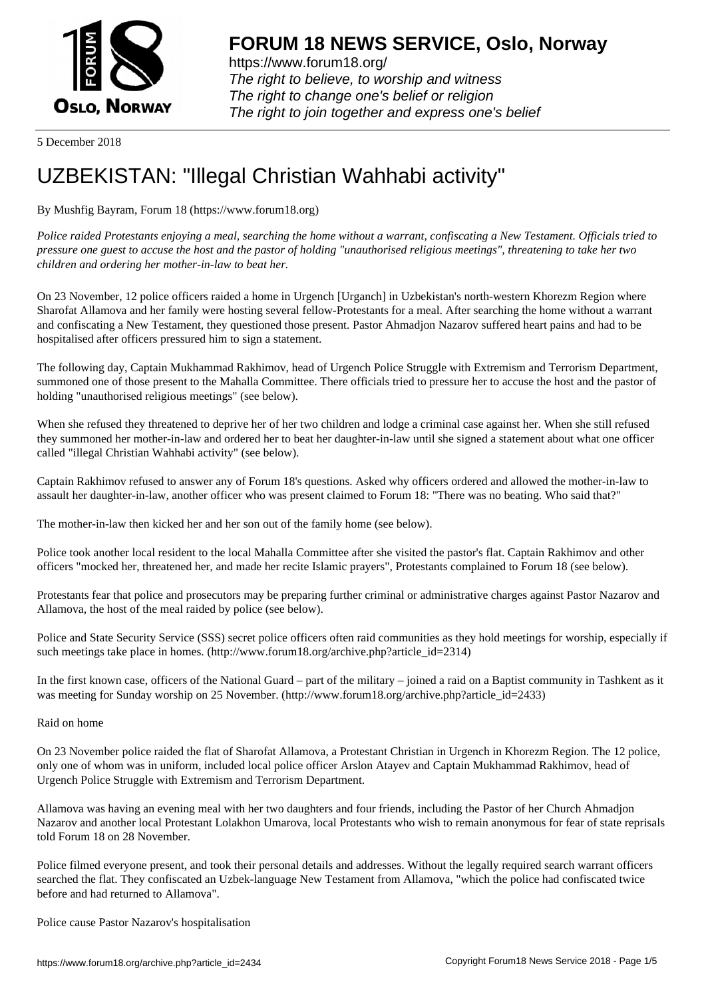

https://www.forum18.org/ The right to believe, to worship and witness The right to change one's belief or religion [The right to join together a](https://www.forum18.org/)nd express one's belief

5 December 2018

# [UZBEKISTAN:](https://www.forum18.org) "Illegal Christian Wahhabi activity"

By Mushfig Bayram, Forum 18 (https://www.forum18.org)

*Police raided Protestants enjoying a meal, searching the home without a warrant, confiscating a New Testament. Officials tried to pressure one guest to accuse the host and the pastor of holding "unauthorised religious meetings", threatening to take her two children and ordering her mother-in-law to beat her.*

On 23 November, 12 police officers raided a home in Urgench [Urganch] in Uzbekistan's north-western Khorezm Region where Sharofat Allamova and her family were hosting several fellow-Protestants for a meal. After searching the home without a warrant and confiscating a New Testament, they questioned those present. Pastor Ahmadjon Nazarov suffered heart pains and had to be hospitalised after officers pressured him to sign a statement.

The following day, Captain Mukhammad Rakhimov, head of Urgench Police Struggle with Extremism and Terrorism Department, summoned one of those present to the Mahalla Committee. There officials tried to pressure her to accuse the host and the pastor of holding "unauthorised religious meetings" (see below).

When she refused they threatened to deprive her of her two children and lodge a criminal case against her. When she still refused they summoned her mother-in-law and ordered her to beat her daughter-in-law until she signed a statement about what one officer called "illegal Christian Wahhabi activity" (see below).

Captain Rakhimov refused to answer any of Forum 18's questions. Asked why officers ordered and allowed the mother-in-law to assault her daughter-in-law, another officer who was present claimed to Forum 18: "There was no beating. Who said that?"

The mother-in-law then kicked her and her son out of the family home (see below).

Police took another local resident to the local Mahalla Committee after she visited the pastor's flat. Captain Rakhimov and other officers "mocked her, threatened her, and made her recite Islamic prayers", Protestants complained to Forum 18 (see below).

Protestants fear that police and prosecutors may be preparing further criminal or administrative charges against Pastor Nazarov and Allamova, the host of the meal raided by police (see below).

Police and State Security Service (SSS) secret police officers often raid communities as they hold meetings for worship, especially if such meetings take place in homes. (http://www.forum18.org/archive.php?article\_id=2314)

In the first known case, officers of the National Guard – part of the military – joined a raid on a Baptist community in Tashkent as it was meeting for Sunday worship on 25 November. (http://www.forum18.org/archive.php?article\_id=2433)

## Raid on home

On 23 November police raided the flat of Sharofat Allamova, a Protestant Christian in Urgench in Khorezm Region. The 12 police, only one of whom was in uniform, included local police officer Arslon Atayev and Captain Mukhammad Rakhimov, head of Urgench Police Struggle with Extremism and Terrorism Department.

Allamova was having an evening meal with her two daughters and four friends, including the Pastor of her Church Ahmadjon Nazarov and another local Protestant Lolakhon Umarova, local Protestants who wish to remain anonymous for fear of state reprisals told Forum 18 on 28 November.

Police filmed everyone present, and took their personal details and addresses. Without the legally required search warrant officers searched the flat. They confiscated an Uzbek-language New Testament from Allamova, "which the police had confiscated twice before and had returned to Allamova".

Police cause Pastor Nazarov's hospitalisation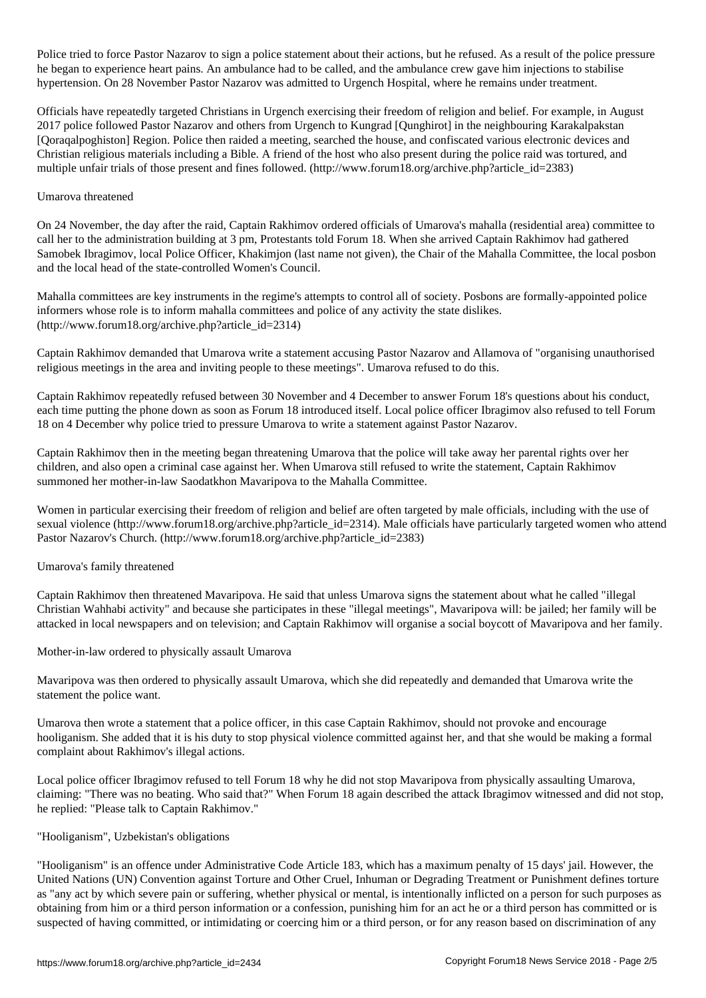Police tried to force Pastor Nazarov to sign a police statement about their actions, but he refused. As a result of the police pressure he began to experience heart pains. An ambulance had to be called, and the ambulance crew gave him injections to stabilise hypertension. On 28 November Pastor Nazarov was admitted to Urgench Hospital, where he remains under treatment.

Officials have repeatedly targeted Christians in Urgench exercising their freedom of religion and belief. For example, in August 2017 police followed Pastor Nazarov and others from Urgench to Kungrad [Qunghirot] in the neighbouring Karakalpakstan [Qoraqalpoghiston] Region. Police then raided a meeting, searched the house, and confiscated various electronic devices and Christian religious materials including a Bible. A friend of the host who also present during the police raid was tortured, and multiple unfair trials of those present and fines followed. (http://www.forum18.org/archive.php?article\_id=2383)

## Umarova threatened

On 24 November, the day after the raid, Captain Rakhimov ordered officials of Umarova's mahalla (residential area) committee to call her to the administration building at 3 pm, Protestants told Forum 18. When she arrived Captain Rakhimov had gathered Samobek Ibragimov, local Police Officer, Khakimjon (last name not given), the Chair of the Mahalla Committee, the local posbon and the local head of the state-controlled Women's Council.

Mahalla committees are key instruments in the regime's attempts to control all of society. Posbons are formally-appointed police informers whose role is to inform mahalla committees and police of any activity the state dislikes. (http://www.forum18.org/archive.php?article\_id=2314)

Captain Rakhimov demanded that Umarova write a statement accusing Pastor Nazarov and Allamova of "organising unauthorised religious meetings in the area and inviting people to these meetings". Umarova refused to do this.

Captain Rakhimov repeatedly refused between 30 November and 4 December to answer Forum 18's questions about his conduct, each time putting the phone down as soon as Forum 18 introduced itself. Local police officer Ibragimov also refused to tell Forum 18 on 4 December why police tried to pressure Umarova to write a statement against Pastor Nazarov.

Captain Rakhimov then in the meeting began threatening Umarova that the police will take away her parental rights over her children, and also open a criminal case against her. When Umarova still refused to write the statement, Captain Rakhimov summoned her mother-in-law Saodatkhon Mavaripova to the Mahalla Committee.

Women in particular exercising their freedom of religion and belief are often targeted by male officials, including with the use of sexual violence (http://www.forum18.org/archive.php?article id=2314). Male officials have particularly targeted women who attend Pastor Nazarov's Church. (http://www.forum18.org/archive.php?article\_id=2383)

#### Umarova's family threatened

Captain Rakhimov then threatened Mavaripova. He said that unless Umarova signs the statement about what he called "illegal Christian Wahhabi activity" and because she participates in these "illegal meetings", Mavaripova will: be jailed; her family will be attacked in local newspapers and on television; and Captain Rakhimov will organise a social boycott of Mavaripova and her family.

Mother-in-law ordered to physically assault Umarova

Mavaripova was then ordered to physically assault Umarova, which she did repeatedly and demanded that Umarova write the statement the police want.

Umarova then wrote a statement that a police officer, in this case Captain Rakhimov, should not provoke and encourage hooliganism. She added that it is his duty to stop physical violence committed against her, and that she would be making a formal complaint about Rakhimov's illegal actions.

Local police officer Ibragimov refused to tell Forum 18 why he did not stop Mavaripova from physically assaulting Umarova, claiming: "There was no beating. Who said that?" When Forum 18 again described the attack Ibragimov witnessed and did not stop, he replied: "Please talk to Captain Rakhimov."

#### "Hooliganism", Uzbekistan's obligations

"Hooliganism" is an offence under Administrative Code Article 183, which has a maximum penalty of 15 days' jail. However, the United Nations (UN) Convention against Torture and Other Cruel, Inhuman or Degrading Treatment or Punishment defines torture as "any act by which severe pain or suffering, whether physical or mental, is intentionally inflicted on a person for such purposes as obtaining from him or a third person information or a confession, punishing him for an act he or a third person has committed or is suspected of having committed, or intimidating or coercing him or a third person, or for any reason based on discrimination of any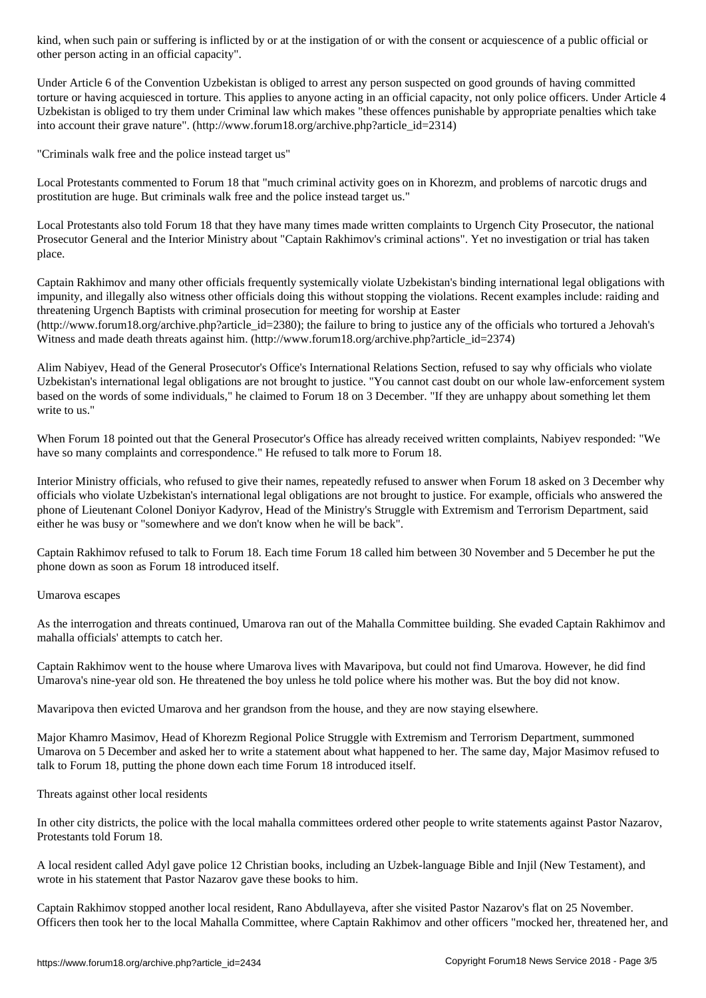other person acting in an official capacity".

Under Article 6 of the Convention Uzbekistan is obliged to arrest any person suspected on good grounds of having committed torture or having acquiesced in torture. This applies to anyone acting in an official capacity, not only police officers. Under Article 4 Uzbekistan is obliged to try them under Criminal law which makes "these offences punishable by appropriate penalties which take into account their grave nature". (http://www.forum18.org/archive.php?article\_id=2314)

"Criminals walk free and the police instead target us"

Local Protestants commented to Forum 18 that "much criminal activity goes on in Khorezm, and problems of narcotic drugs and prostitution are huge. But criminals walk free and the police instead target us."

Local Protestants also told Forum 18 that they have many times made written complaints to Urgench City Prosecutor, the national Prosecutor General and the Interior Ministry about "Captain Rakhimov's criminal actions". Yet no investigation or trial has taken place.

Captain Rakhimov and many other officials frequently systemically violate Uzbekistan's binding international legal obligations with impunity, and illegally also witness other officials doing this without stopping the violations. Recent examples include: raiding and threatening Urgench Baptists with criminal prosecution for meeting for worship at Easter

(http://www.forum18.org/archive.php?article\_id=2380); the failure to bring to justice any of the officials who tortured a Jehovah's Witness and made death threats against him. (http://www.forum18.org/archive.php?article\_id=2374)

Alim Nabiyev, Head of the General Prosecutor's Office's International Relations Section, refused to say why officials who violate Uzbekistan's international legal obligations are not brought to justice. "You cannot cast doubt on our whole law-enforcement system based on the words of some individuals," he claimed to Forum 18 on 3 December. "If they are unhappy about something let them write to us."

When Forum 18 pointed out that the General Prosecutor's Office has already received written complaints, Nabiyev responded: "We have so many complaints and correspondence." He refused to talk more to Forum 18.

Interior Ministry officials, who refused to give their names, repeatedly refused to answer when Forum 18 asked on 3 December why officials who violate Uzbekistan's international legal obligations are not brought to justice. For example, officials who answered the phone of Lieutenant Colonel Doniyor Kadyrov, Head of the Ministry's Struggle with Extremism and Terrorism Department, said either he was busy or "somewhere and we don't know when he will be back".

Captain Rakhimov refused to talk to Forum 18. Each time Forum 18 called him between 30 November and 5 December he put the phone down as soon as Forum 18 introduced itself.

Umarova escapes

As the interrogation and threats continued, Umarova ran out of the Mahalla Committee building. She evaded Captain Rakhimov and mahalla officials' attempts to catch her.

Captain Rakhimov went to the house where Umarova lives with Mavaripova, but could not find Umarova. However, he did find Umarova's nine-year old son. He threatened the boy unless he told police where his mother was. But the boy did not know.

Mavaripova then evicted Umarova and her grandson from the house, and they are now staying elsewhere.

Major Khamro Masimov, Head of Khorezm Regional Police Struggle with Extremism and Terrorism Department, summoned Umarova on 5 December and asked her to write a statement about what happened to her. The same day, Major Masimov refused to talk to Forum 18, putting the phone down each time Forum 18 introduced itself.

Threats against other local residents

In other city districts, the police with the local mahalla committees ordered other people to write statements against Pastor Nazarov, Protestants told Forum 18.

A local resident called Adyl gave police 12 Christian books, including an Uzbek-language Bible and Injil (New Testament), and wrote in his statement that Pastor Nazarov gave these books to him.

Captain Rakhimov stopped another local resident, Rano Abdullayeva, after she visited Pastor Nazarov's flat on 25 November. Officers then took her to the local Mahalla Committee, where Captain Rakhimov and other officers "mocked her, threatened her, and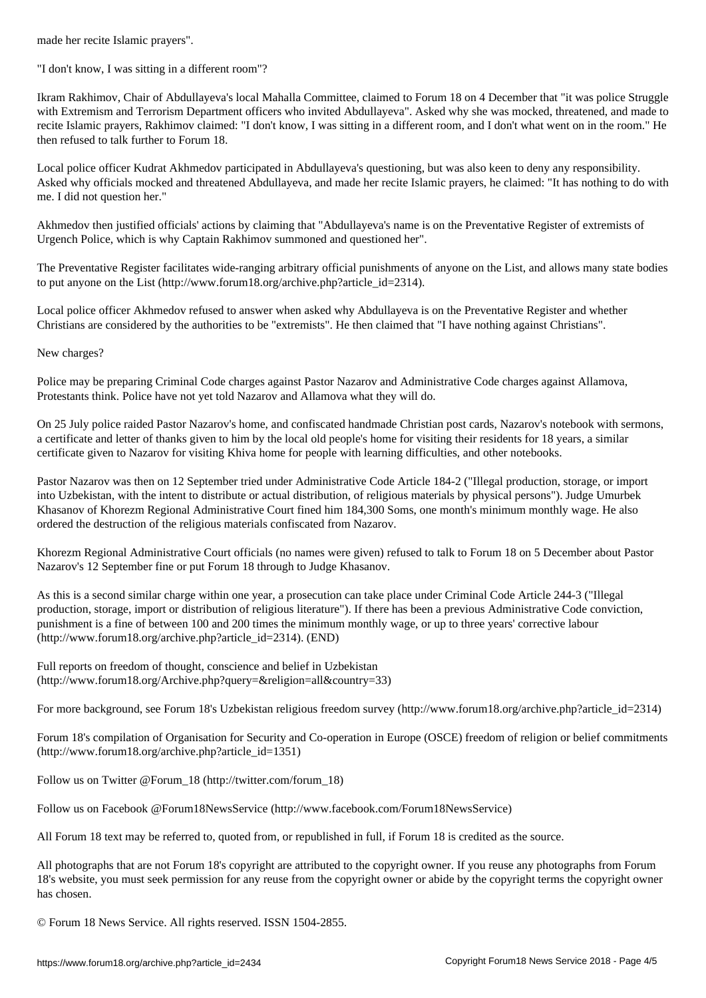"I don't know, I was sitting in a different room"?

Ikram Rakhimov, Chair of Abdullayeva's local Mahalla Committee, claimed to Forum 18 on 4 December that "it was police Struggle with Extremism and Terrorism Department officers who invited Abdullayeva". Asked why she was mocked, threatened, and made to recite Islamic prayers, Rakhimov claimed: "I don't know, I was sitting in a different room, and I don't what went on in the room." He then refused to talk further to Forum 18.

Local police officer Kudrat Akhmedov participated in Abdullayeva's questioning, but was also keen to deny any responsibility. Asked why officials mocked and threatened Abdullayeva, and made her recite Islamic prayers, he claimed: "It has nothing to do with me. I did not question her."

Akhmedov then justified officials' actions by claiming that "Abdullayeva's name is on the Preventative Register of extremists of Urgench Police, which is why Captain Rakhimov summoned and questioned her".

The Preventative Register facilitates wide-ranging arbitrary official punishments of anyone on the List, and allows many state bodies to put anyone on the List (http://www.forum18.org/archive.php?article\_id=2314).

Local police officer Akhmedov refused to answer when asked why Abdullayeva is on the Preventative Register and whether Christians are considered by the authorities to be "extremists". He then claimed that "I have nothing against Christians".

New charges?

Police may be preparing Criminal Code charges against Pastor Nazarov and Administrative Code charges against Allamova, Protestants think. Police have not yet told Nazarov and Allamova what they will do.

On 25 July police raided Pastor Nazarov's home, and confiscated handmade Christian post cards, Nazarov's notebook with sermons, a certificate and letter of thanks given to him by the local old people's home for visiting their residents for 18 years, a similar certificate given to Nazarov for visiting Khiva home for people with learning difficulties, and other notebooks.

Pastor Nazarov was then on 12 September tried under Administrative Code Article 184-2 ("Illegal production, storage, or import into Uzbekistan, with the intent to distribute or actual distribution, of religious materials by physical persons"). Judge Umurbek Khasanov of Khorezm Regional Administrative Court fined him 184,300 Soms, one month's minimum monthly wage. He also ordered the destruction of the religious materials confiscated from Nazarov.

Khorezm Regional Administrative Court officials (no names were given) refused to talk to Forum 18 on 5 December about Pastor Nazarov's 12 September fine or put Forum 18 through to Judge Khasanov.

As this is a second similar charge within one year, a prosecution can take place under Criminal Code Article 244-3 ("Illegal production, storage, import or distribution of religious literature"). If there has been a previous Administrative Code conviction, punishment is a fine of between 100 and 200 times the minimum monthly wage, or up to three years' corrective labour (http://www.forum18.org/archive.php?article\_id=2314). (END)

Full reports on freedom of thought, conscience and belief in Uzbekistan (http://www.forum18.org/Archive.php?query=&religion=all&country=33)

For more background, see Forum 18's Uzbekistan religious freedom survey (http://www.forum18.org/archive.php?article\_id=2314)

Forum 18's compilation of Organisation for Security and Co-operation in Europe (OSCE) freedom of religion or belief commitments (http://www.forum18.org/archive.php?article\_id=1351)

Follow us on Twitter @Forum\_18 (http://twitter.com/forum\_18)

Follow us on Facebook @Forum18NewsService (http://www.facebook.com/Forum18NewsService)

All Forum 18 text may be referred to, quoted from, or republished in full, if Forum 18 is credited as the source.

All photographs that are not Forum 18's copyright are attributed to the copyright owner. If you reuse any photographs from Forum 18's website, you must seek permission for any reuse from the copyright owner or abide by the copyright terms the copyright owner has chosen.

© Forum 18 News Service. All rights reserved. ISSN 1504-2855.